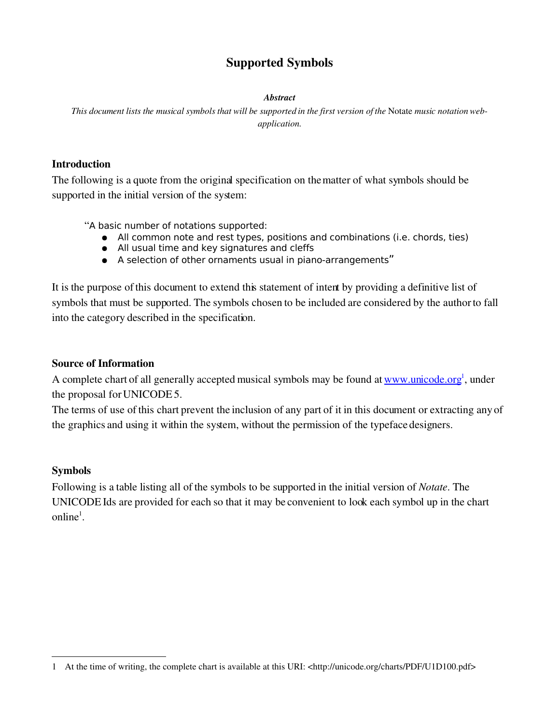# Supported Symbols

#### *Abstract*

*This document lists the musical symbols that will be supported in the first version of the* Notate *music notation webapplication.*

### Introduction

The following is a quote from the original specification on the matter of what symbols should be supported in the initial version of the system:

"A basic number of notations supported:

- All common note and rest types, positions and combinations (i.e. chords, ties)
- All usual time and key signatures and cleffs
- A selection of other ornaments usual in piano-arrangements"

It is the purpose of this document to extend this statement of intent by providing a definitive list of symbols that must be supported. The symbols chosen to be included are considered by the author to fall into the category described in the specification.

### Source of Information

A complete chart of all generally accepted musical symbols may be found at [www.unicode.org](http://www.unicode.org/)<sup>[1](#page-0-0)</sup>, under [the proposal for UNICODE 5.](http://www.unicode.org/)

[The terms of use of this chart prevent the inclusion of any part of it](http://www.unicode.org/) in this document or extracting any of [the graphics and using it within the system, without the permission of the typeface designers.](http://www.unicode.org/)

## [Symbols](http://www.unicode.org/)

[Following is a table listing all of the symbols to be supported in the initial version of](http://www.unicode.org/) *Notate*. The UNICODE Ids are [provided for each so that it may be convenient to look each symbol up in the chart](http://www.unicode.org/) [online](http://www.unicode.org/)<sup>1</sup>.

<span id="page-0-0"></span><sup>1</sup> At the time of writing, the complete chart is available at this URI: <http://unicode.org/charts/PDF/U1D100.pdf>